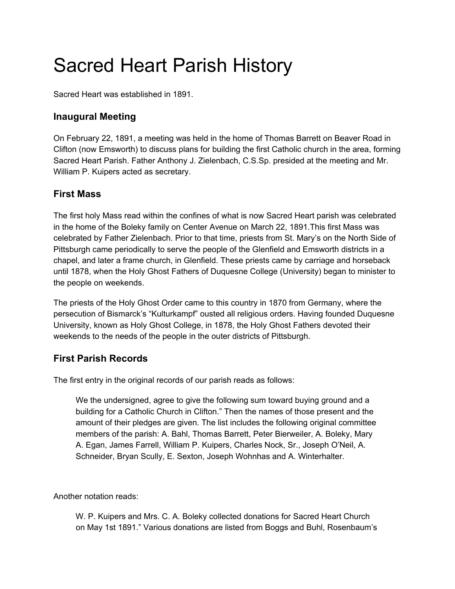# Sacred Heart Parish History

Sacred Heart was established in 1891.

# **Inaugural Meeting**

On February 22, 1891, a meeting was held in the home of Thomas Barrett on Beaver Road in Clifton (now Emsworth) to discuss plans for building the first Catholic church in the area, forming Sacred Heart Parish. Father Anthony J. Zielenbach, C.S.Sp. presided at the meeting and Mr. William P. Kuipers acted as secretary.

# **First Mass**

The first holy Mass read within the confines of what is now Sacred Heart parish was celebrated in the home of the Boleky family on Center Avenue on March 22, 1891.This first Mass was celebrated by Father Zielenbach. Prior to that time, priests from St. Mary's on the North Side of Pittsburgh came periodically to serve the people of the Glenfield and Emsworth districts in a chapel, and later a frame church, in Glenfield. These priests came by carriage and horseback until 1878, when the Holy Ghost Fathers of Duquesne College (University) began to minister to the people on weekends.

The priests of the Holy Ghost Order came to this country in 1870 from Germany, where the persecution of Bismarck's "Kulturkampf" ousted all religious orders. Having founded Duquesne University, known as Holy Ghost College, in 1878, the Holy Ghost Fathers devoted their weekends to the needs of the people in the outer districts of Pittsburgh.

# **First Parish Records**

The first entry in the original records of our parish reads as follows:

We the undersigned, agree to give the following sum toward buying ground and a building for a Catholic Church in Clifton." Then the names of those present and the amount of their pledges are given. The list includes the following original committee members of the parish: A. Bahl, Thomas Barrett, Peter Bierweiler, A. Boleky, Mary A. Egan, James Farrell, William P. Kuipers, Charles Nock, Sr., Joseph O'Neil, A. Schneider, Bryan Scully, E. Sexton, Joseph Wohnhas and A. Winterhalter.

Another notation reads:

W. P. Kuipers and Mrs. C. A. Boleky collected donations for Sacred Heart Church on May 1st 1891." Various donations are listed from Boggs and Buhl, Rosenbaum's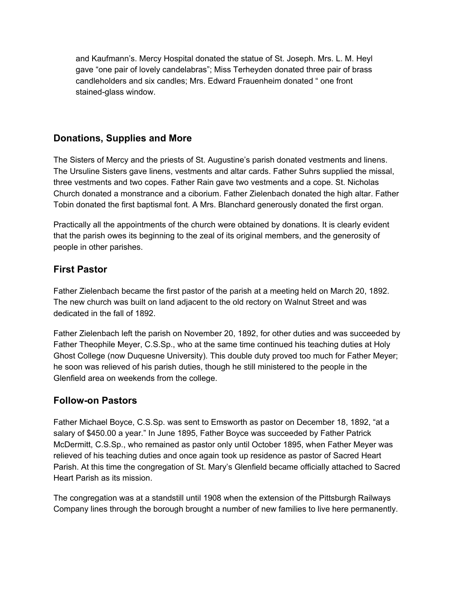and Kaufmann's. Mercy Hospital donated the statue of St. Joseph. Mrs. L. M. Heyl gave "one pair of lovely candelabras"; Miss Terheyden donated three pair of brass candleholders and six candles; Mrs. Edward Frauenheim donated " one front stained-glass window.

# **Donations, Supplies and More**

The Sisters of Mercy and the priests of St. Augustine's parish donated vestments and linens. The Ursuline Sisters gave linens, vestments and altar cards. Father Suhrs supplied the missal, three vestments and two copes. Father Rain gave two vestments and a cope. St. Nicholas Church donated a monstrance and a ciborium. Father Zielenbach donated the high altar. Father Tobin donated the first baptismal font. A Mrs. Blanchard generously donated the first organ.

Practically all the appointments of the church were obtained by donations. It is clearly evident that the parish owes its beginning to the zeal of its original members, and the generosity of people in other parishes.

# **First Pastor**

Father Zielenbach became the first pastor of the parish at a meeting held on March 20, 1892. The new church was built on land adjacent to the old rectory on Walnut Street and was dedicated in the fall of 1892.

Father Zielenbach left the parish on November 20, 1892, for other duties and was succeeded by Father Theophile Meyer, C.S.Sp., who at the same time continued his teaching duties at Holy Ghost College (now Duquesne University). This double duty proved too much for Father Meyer; he soon was relieved of his parish duties, though he still ministered to the people in the Glenfield area on weekends from the college.

# **Follow-on Pastors**

Father Michael Boyce, C.S.Sp. was sent to Emsworth as pastor on December 18, 1892, "at a salary of \$450.00 a year." In June 1895, Father Boyce was succeeded by Father Patrick McDermitt, C.S.Sp., who remained as pastor only until October 1895, when Father Meyer was relieved of his teaching duties and once again took up residence as pastor of Sacred Heart Parish. At this time the congregation of St. Mary's Glenfield became officially attached to Sacred Heart Parish as its mission.

The congregation was at a standstill until 1908 when the extension of the Pittsburgh Railways Company lines through the borough brought a number of new families to live here permanently.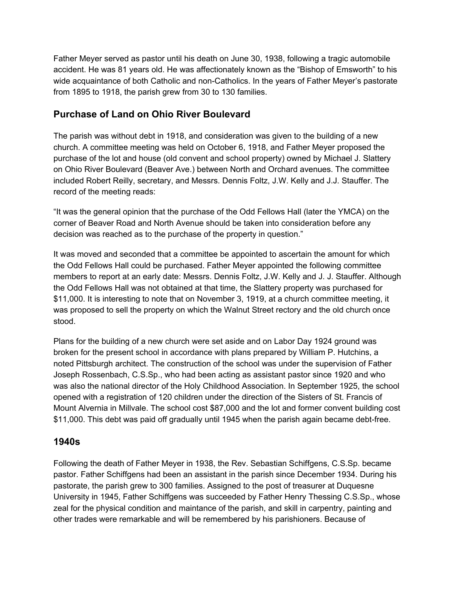Father Meyer served as pastor until his death on June 30, 1938, following a tragic automobile accident. He was 81 years old. He was affectionately known as the "Bishop of Emsworth" to his wide acquaintance of both Catholic and non-Catholics. In the years of Father Meyer's pastorate from 1895 to 1918, the parish grew from 30 to 130 families.

#### **Purchase of Land on Ohio River Boulevard**

The parish was without debt in 1918, and consideration was given to the building of a new church. A committee meeting was held on October 6, 1918, and Father Meyer proposed the purchase of the lot and house (old convent and school property) owned by Michael J. Slattery on Ohio River Boulevard (Beaver Ave.) between North and Orchard avenues. The committee included Robert Reilly, secretary, and Messrs. Dennis Foltz, J.W. Kelly and J.J. Stauffer. The record of the meeting reads:

"It was the general opinion that the purchase of the Odd Fellows Hall (later the YMCA) on the corner of Beaver Road and North Avenue should be taken into consideration before any decision was reached as to the purchase of the property in question."

It was moved and seconded that a committee be appointed to ascertain the amount for which the Odd Fellows Hall could be purchased. Father Meyer appointed the following committee members to report at an early date: Messrs. Dennis Foltz, J.W. Kelly and J. J. Stauffer. Although the Odd Fellows Hall was not obtained at that time, the Slattery property was purchased for \$11,000. It is interesting to note that on November 3, 1919, at a church committee meeting, it was proposed to sell the property on which the Walnut Street rectory and the old church once stood.

Plans for the building of a new church were set aside and on Labor Day 1924 ground was broken for the present school in accordance with plans prepared by William P. Hutchins, a noted Pittsburgh architect. The construction of the school was under the supervision of Father Joseph Rossenbach, C.S.Sp., who had been acting as assistant pastor since 1920 and who was also the national director of the Holy Childhood Association. In September 1925, the school opened with a registration of 120 children under the direction of the Sisters of St. Francis of Mount Alvernia in Millvale. The school cost \$87,000 and the lot and former convent building cost \$11,000. This debt was paid off gradually until 1945 when the parish again became debt-free.

#### **1940s**

Following the death of Father Meyer in 1938, the Rev. Sebastian Schiffgens, C.S.Sp. became pastor. Father Schiffgens had been an assistant in the parish since December 1934. During his pastorate, the parish grew to 300 families. Assigned to the post of treasurer at Duquesne University in 1945, Father Schiffgens was succeeded by Father Henry Thessing C.S.Sp., whose zeal for the physical condition and maintance of the parish, and skill in carpentry, painting and other trades were remarkable and will be remembered by his parishioners. Because of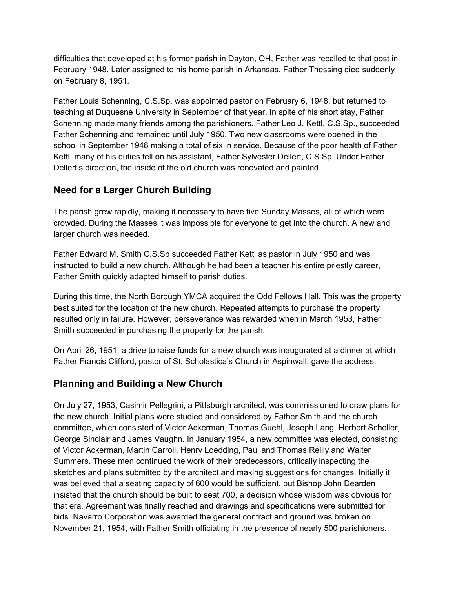difficulties that developed at his former parish in Dayton, OH, Father was recalled to that post in February 1948. Later assigned to his home parish in Arkansas, Father Thessing died suddenly on February 8, 1951.

Father Louis Schenning, C.S.Sp. was appointed pastor on February 6, 1948, but returned to teaching at Duquesne University in September of that year. In spite of his short stay, Father Schenning made many friends among the parishioners. Father Leo J. Kettl, C.S.Sp., succeeded Father Schenning and remained until July 1950. Two new classrooms were opened in the school in September 1948 making a total of six in service. Because of the poor health of Father Kettl, many of his duties fell on his assistant, Father Sylvester Dellert, C.S.Sp. Under Father Dellert's direction, the inside of the old church was renovated and painted.

# **Need for a Larger Church Building**

The parish grew rapidly, making it necessary to have five Sunday Masses, all of which were crowded. During the Masses it was impossible for everyone to get into the church. A new and larger church was needed.

Father Edward M. Smith C.S.Sp succeeded Father Kettl as pastor in July 1950 and was instructed to build a new church. Although he had been a teacher his entire priestly career, Father Smith quickly adapted himself to parish duties.

During this time, the North Borough YMCA acquired the Odd Fellows Hall. This was the property best suited for the location of the new church. Repeated attempts to purchase the property resulted only in failure. However, perseverance was rewarded when in March 1953, Father Smith succeeded in purchasing the property for the parish.

On April 26, 1951, a drive to raise funds for a new church was inaugurated at a dinner at which Father Francis Clifford, pastor of St. Scholastica's Church in Aspinwall, gave the address.

# **Planning and Building a New Church**

On July 27, 1953, Casimir Pellegrini, a Pittsburgh architect, was commissioned to draw plans for the new church. Initial plans were studied and considered by Father Smith and the church committee, which consisted of Victor Ackerman, Thomas Guehl, Joseph Lang, Herbert Scheller, George Sinclair and James Vaughn. In January 1954, a new committee was elected, consisting of Victor Ackerman, Martin Carroll, Henry Loedding, Paul and Thomas Reilly and Walter Summers. These men continued the work of their predecessors, critically inspecting the sketches and plans submitted by the architect and making suggestions for changes. Initially it was believed that a seating capacity of 600 would be sufficient, but Bishop John Dearden insisted that the church should be built to seat 700, a decision whose wisdom was obvious for that era. Agreement was finally reached and drawings and specifications were submitted for bids. Navarro Corporation was awarded the general contract and ground was broken on November 21, 1954, with Father Smith officiating in the presence of nearly 500 parishioners.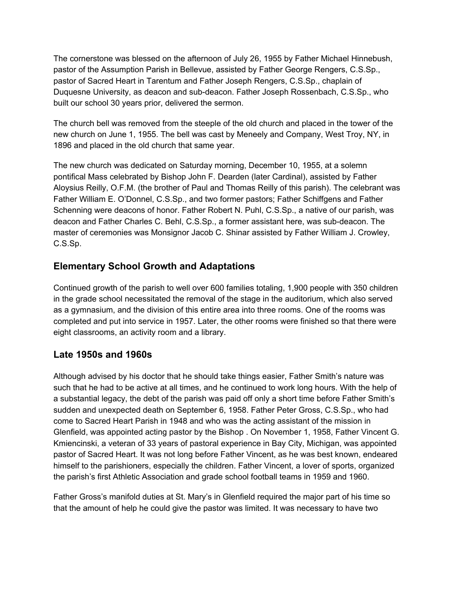The cornerstone was blessed on the afternoon of July 26, 1955 by Father Michael Hinnebush, pastor of the Assumption Parish in Bellevue, assisted by Father George Rengers, C.S.Sp., pastor of Sacred Heart in Tarentum and Father Joseph Rengers, C.S.Sp., chaplain of Duquesne University, as deacon and sub-deacon. Father Joseph Rossenbach, C.S.Sp., who built our school 30 years prior, delivered the sermon.

The church bell was removed from the steeple of the old church and placed in the tower of the new church on June 1, 1955. The bell was cast by Meneely and Company, West Troy, NY, in 1896 and placed in the old church that same year.

The new church was dedicated on Saturday morning, December 10, 1955, at a solemn pontifical Mass celebrated by Bishop John F. Dearden (later Cardinal), assisted by Father Aloysius Reilly, O.F.M. (the brother of Paul and Thomas Reilly of this parish). The celebrant was Father William E. O'Donnel, C.S.Sp., and two former pastors; Father Schiffgens and Father Schenning were deacons of honor. Father Robert N. Puhl, C.S.Sp., a native of our parish, was deacon and Father Charles C. Behl, C.S.Sp., a former assistant here, was sub-deacon. The master of ceremonies was Monsignor Jacob C. Shinar assisted by Father William J. Crowley, C.S.Sp.

# **Elementary School Growth and Adaptations**

Continued growth of the parish to well over 600 families totaling, 1,900 people with 350 children in the grade school necessitated the removal of the stage in the auditorium, which also served as a gymnasium, and the division of this entire area into three rooms. One of the rooms was completed and put into service in 1957. Later, the other rooms were finished so that there were eight classrooms, an activity room and a library.

# **Late 1950s and 1960s**

Although advised by his doctor that he should take things easier, Father Smith's nature was such that he had to be active at all times, and he continued to work long hours. With the help of a substantial legacy, the debt of the parish was paid off only a short time before Father Smith's sudden and unexpected death on September 6, 1958. Father Peter Gross, C.S.Sp., who had come to Sacred Heart Parish in 1948 and who was the acting assistant of the mission in Glenfield, was appointed acting pastor by the Bishop . On November 1, 1958, Father Vincent G. Kmiencinski, a veteran of 33 years of pastoral experience in Bay City, Michigan, was appointed pastor of Sacred Heart. It was not long before Father Vincent, as he was best known, endeared himself to the parishioners, especially the children. Father Vincent, a lover of sports, organized the parish's first Athletic Association and grade school football teams in 1959 and 1960.

Father Gross's manifold duties at St. Mary's in Glenfield required the major part of his time so that the amount of help he could give the pastor was limited. It was necessary to have two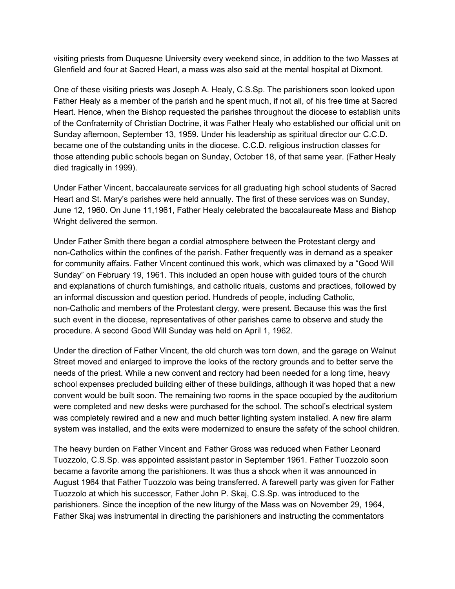visiting priests from Duquesne University every weekend since, in addition to the two Masses at Glenfield and four at Sacred Heart, a mass was also said at the mental hospital at Dixmont.

One of these visiting priests was Joseph A. Healy, C.S.Sp. The parishioners soon looked upon Father Healy as a member of the parish and he spent much, if not all, of his free time at Sacred Heart. Hence, when the Bishop requested the parishes throughout the diocese to establish units of the Confraternity of Christian Doctrine, it was Father Healy who established our official unit on Sunday afternoon, September 13, 1959. Under his leadership as spiritual director our C.C.D. became one of the outstanding units in the diocese. C.C.D. religious instruction classes for those attending public schools began on Sunday, October 18, of that same year. (Father Healy died tragically in 1999).

Under Father Vincent, baccalaureate services for all graduating high school students of Sacred Heart and St. Mary's parishes were held annually. The first of these services was on Sunday, June 12, 1960. On June 11,1961, Father Healy celebrated the baccalaureate Mass and Bishop Wright delivered the sermon.

Under Father Smith there began a cordial atmosphere between the Protestant clergy and non-Catholics within the confines of the parish. Father frequently was in demand as a speaker for community affairs. Father Vincent continued this work, which was climaxed by a "Good Will Sunday" on February 19, 1961. This included an open house with guided tours of the church and explanations of church furnishings, and catholic rituals, customs and practices, followed by an informal discussion and question period. Hundreds of people, including Catholic, non-Catholic and members of the Protestant clergy, were present. Because this was the first such event in the diocese, representatives of other parishes came to observe and study the procedure. A second Good Will Sunday was held on April 1, 1962.

Under the direction of Father Vincent, the old church was torn down, and the garage on Walnut Street moved and enlarged to improve the looks of the rectory grounds and to better serve the needs of the priest. While a new convent and rectory had been needed for a long time, heavy school expenses precluded building either of these buildings, although it was hoped that a new convent would be built soon. The remaining two rooms in the space occupied by the auditorium were completed and new desks were purchased for the school. The school's electrical system was completely rewired and a new and much better lighting system installed. A new fire alarm system was installed, and the exits were modernized to ensure the safety of the school children.

The heavy burden on Father Vincent and Father Gross was reduced when Father Leonard Tuozzolo, C.S.Sp. was appointed assistant pastor in September 1961. Father Tuozzolo soon became a favorite among the parishioners. It was thus a shock when it was announced in August 1964 that Father Tuozzolo was being transferred. A farewell party was given for Father Tuozzolo at which his successor, Father John P. Skaj, C.S.Sp. was introduced to the parishioners. Since the inception of the new liturgy of the Mass was on November 29, 1964, Father Skaj was instrumental in directing the parishioners and instructing the commentators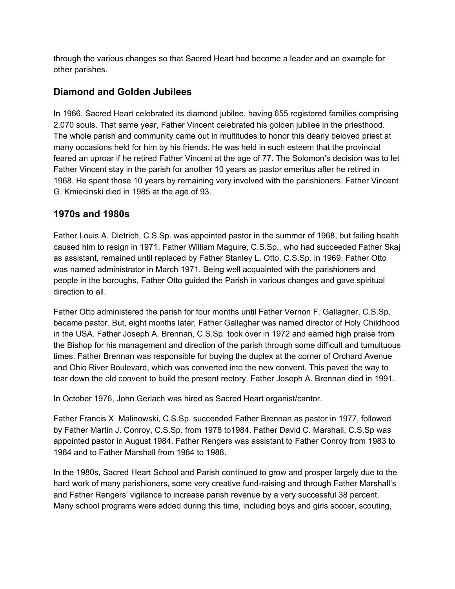through the various changes so that Sacred Heart had become a leader and an example for other parishes.

# **Diamond and Golden Jubilees**

In 1966, Sacred Heart celebrated its diamond jubilee, having 655 registered families comprising 2,070 souls. That same year, Father Vincent celebrated his golden jubilee in the priesthood. The whole parish and community came out in multitudes to honor this dearly beloved priest at many occasions held for him by his friends. He was held in such esteem that the provincial feared an uproar if he retired Father Vincent at the age of 77. The Solomon's decision was to let Father Vincent stay in the parish for another 10 years as pastor emeritus after he retired in 1968. He spent those 10 years by remaining very involved with the parishioners. Father Vincent G. Kmiecinski died in 1985 at the age of 93.

# **1970s and 1980s**

Father Louis A. Dietrich, C.S.Sp. was appointed pastor in the summer of 1968, but failing health caused him to resign in 1971. Father William Maguire, C.S.Sp., who had succeeded Father Skaj as assistant, remained until replaced by Father Stanley L. Otto, C.S.Sp. in 1969. Father Otto was named administrator in March 1971. Being well acquainted with the parishioners and people in the boroughs, Father Otto guided the Parish in various changes and gave spiritual direction to all.

Father Otto administered the parish for four months until Father Vernon F. Gallagher, C.S.Sp. became pastor. But, eight months later, Father Gallagher was named director of Holy Childhood in the USA. Father Joseph A. Brennan, C.S.Sp. took over in 1972 and earned high praise from the Bishop for his management and direction of the parish through some difficult and tumultuous times. Father Brennan was responsible for buying the duplex at the corner of Orchard Avenue and Ohio River Boulevard, which was converted into the new convent. This paved the way to tear down the old convent to build the present rectory. Father Joseph A. Brennan died in 1991.

In October 1976, John Gerlach was hired as Sacred Heart organist/cantor.

Father Francis X. Malinowski, C.S.Sp. succeeded Father Brennan as pastor in 1977, followed by Father Martin J. Conroy, C.S.Sp. from 1978 to1984. Father David C. Marshall, C.S.Sp was appointed pastor in August 1984. Father Rengers was assistant to Father Conroy from 1983 to 1984 and to Father Marshall from 1984 to 1988.

In the 1980s, Sacred Heart School and Parish continued to grow and prosper largely due to the hard work of many parishioners, some very creative fund-raising and through Father Marshall's and Father Rengers' vigilance to increase parish revenue by a very successful 38 percent. Many school programs were added during this time, including boys and girls soccer, scouting,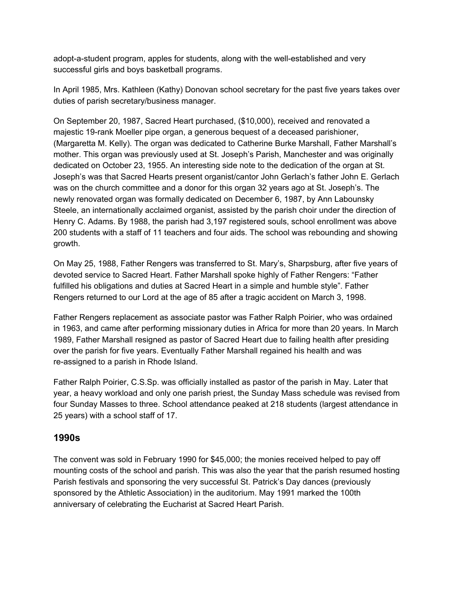adopt-a-student program, apples for students, along with the well-established and very successful girls and boys basketball programs.

In April 1985, Mrs. Kathleen (Kathy) Donovan school secretary for the past five years takes over duties of parish secretary/business manager.

On September 20, 1987, Sacred Heart purchased, (\$10,000), received and renovated a majestic 19-rank Moeller pipe organ, a generous bequest of a deceased parishioner, (Margaretta M. Kelly). The organ was dedicated to Catherine Burke Marshall, Father Marshall's mother. This organ was previously used at St. Joseph's Parish, Manchester and was originally dedicated on October 23, 1955. An interesting side note to the dedication of the organ at St. Joseph's was that Sacred Hearts present organist/cantor John Gerlach's father John E. Gerlach was on the church committee and a donor for this organ 32 years ago at St. Joseph's. The newly renovated organ was formally dedicated on December 6, 1987, by Ann Labounsky Steele, an internationally acclaimed organist, assisted by the parish choir under the direction of Henry C. Adams. By 1988, the parish had 3,197 registered souls, school enrollment was above 200 students with a staff of 11 teachers and four aids. The school was rebounding and showing growth.

On May 25, 1988, Father Rengers was transferred to St. Mary's, Sharpsburg, after five years of devoted service to Sacred Heart. Father Marshall spoke highly of Father Rengers: "Father fulfilled his obligations and duties at Sacred Heart in a simple and humble style". Father Rengers returned to our Lord at the age of 85 after a tragic accident on March 3, 1998.

Father Rengers replacement as associate pastor was Father Ralph Poirier, who was ordained in 1963, and came after performing missionary duties in Africa for more than 20 years. In March 1989, Father Marshall resigned as pastor of Sacred Heart due to failing health after presiding over the parish for five years. Eventually Father Marshall regained his health and was re-assigned to a parish in Rhode Island.

Father Ralph Poirier, C.S.Sp. was officially installed as pastor of the parish in May. Later that year, a heavy workload and only one parish priest, the Sunday Mass schedule was revised from four Sunday Masses to three. School attendance peaked at 218 students (largest attendance in 25 years) with a school staff of 17.

#### **1990s**

The convent was sold in February 1990 for \$45,000; the monies received helped to pay off mounting costs of the school and parish. This was also the year that the parish resumed hosting Parish festivals and sponsoring the very successful St. Patrick's Day dances (previously sponsored by the Athletic Association) in the auditorium. May 1991 marked the 100th anniversary of celebrating the Eucharist at Sacred Heart Parish.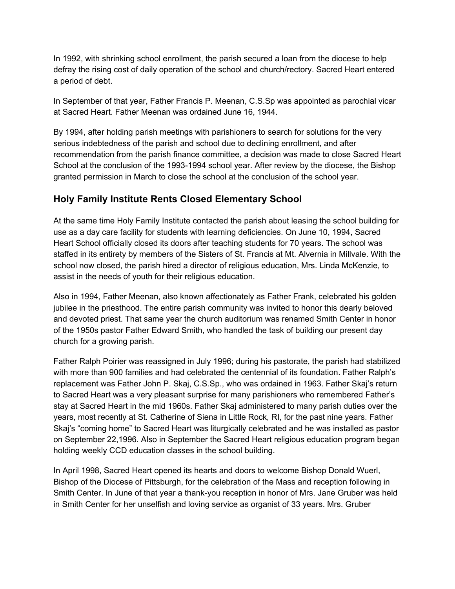In 1992, with shrinking school enrollment, the parish secured a loan from the diocese to help defray the rising cost of daily operation of the school and church/rectory. Sacred Heart entered a period of debt.

In September of that year, Father Francis P. Meenan, C.S.Sp was appointed as parochial vicar at Sacred Heart. Father Meenan was ordained June 16, 1944.

By 1994, after holding parish meetings with parishioners to search for solutions for the very serious indebtedness of the parish and school due to declining enrollment, and after recommendation from the parish finance committee, a decision was made to close Sacred Heart School at the conclusion of the 1993-1994 school year. After review by the diocese, the Bishop granted permission in March to close the school at the conclusion of the school year.

# **Holy Family Institute Rents Closed Elementary School**

At the same time Holy Family Institute contacted the parish about leasing the school building for use as a day care facility for students with learning deficiencies. On June 10, 1994, Sacred Heart School officially closed its doors after teaching students for 70 years. The school was staffed in its entirety by members of the Sisters of St. Francis at Mt. Alvernia in Millvale. With the school now closed, the parish hired a director of religious education, Mrs. Linda McKenzie, to assist in the needs of youth for their religious education.

Also in 1994, Father Meenan, also known affectionately as Father Frank, celebrated his golden jubilee in the priesthood. The entire parish community was invited to honor this dearly beloved and devoted priest. That same year the church auditorium was renamed Smith Center in honor of the 1950s pastor Father Edward Smith, who handled the task of building our present day church for a growing parish.

Father Ralph Poirier was reassigned in July 1996; during his pastorate, the parish had stabilized with more than 900 families and had celebrated the centennial of its foundation. Father Ralph's replacement was Father John P. Skaj, C.S.Sp., who was ordained in 1963. Father Skaj's return to Sacred Heart was a very pleasant surprise for many parishioners who remembered Father's stay at Sacred Heart in the mid 1960s. Father Skaj administered to many parish duties over the years, most recently at St. Catherine of Siena in Little Rock, RI, for the past nine years. Father Skaj's "coming home" to Sacred Heart was liturgically celebrated and he was installed as pastor on September 22,1996. Also in September the Sacred Heart religious education program began holding weekly CCD education classes in the school building.

In April 1998, Sacred Heart opened its hearts and doors to welcome Bishop Donald Wuerl, Bishop of the Diocese of Pittsburgh, for the celebration of the Mass and reception following in Smith Center. In June of that year a thank-you reception in honor of Mrs. Jane Gruber was held in Smith Center for her unselfish and loving service as organist of 33 years. Mrs. Gruber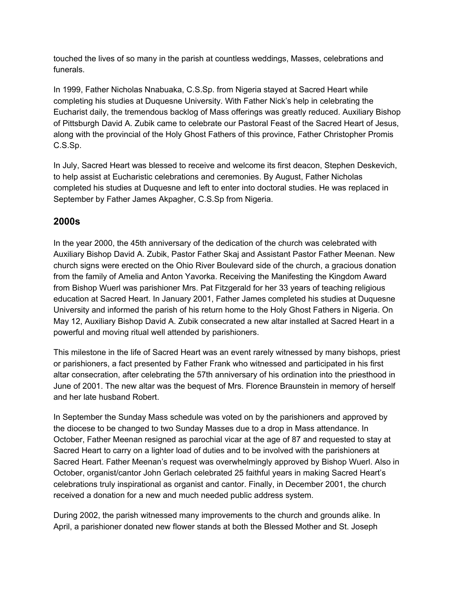touched the lives of so many in the parish at countless weddings, Masses, celebrations and funerals.

In 1999, Father Nicholas Nnabuaka, C.S.Sp. from Nigeria stayed at Sacred Heart while completing his studies at Duquesne University. With Father Nick's help in celebrating the Eucharist daily, the tremendous backlog of Mass offerings was greatly reduced. Auxiliary Bishop of Pittsburgh David A. Zubik came to celebrate our Pastoral Feast of the Sacred Heart of Jesus, along with the provincial of the Holy Ghost Fathers of this province, Father Christopher Promis C.S.Sp.

In July, Sacred Heart was blessed to receive and welcome its first deacon, Stephen Deskevich, to help assist at Eucharistic celebrations and ceremonies. By August, Father Nicholas completed his studies at Duquesne and left to enter into doctoral studies. He was replaced in September by Father James Akpagher, C.S.Sp from Nigeria.

# **2000s**

In the year 2000, the 45th anniversary of the dedication of the church was celebrated with Auxiliary Bishop David A. Zubik, Pastor Father Skaj and Assistant Pastor Father Meenan. New church signs were erected on the Ohio River Boulevard side of the church, a gracious donation from the family of Amelia and Anton Yavorka. Receiving the Manifesting the Kingdom Award from Bishop Wuerl was parishioner Mrs. Pat Fitzgerald for her 33 years of teaching religious education at Sacred Heart. In January 2001, Father James completed his studies at Duquesne University and informed the parish of his return home to the Holy Ghost Fathers in Nigeria. On May 12, Auxiliary Bishop David A. Zubik consecrated a new altar installed at Sacred Heart in a powerful and moving ritual well attended by parishioners.

This milestone in the life of Sacred Heart was an event rarely witnessed by many bishops, priest or parishioners, a fact presented by Father Frank who witnessed and participated in his first altar consecration, after celebrating the 57th anniversary of his ordination into the priesthood in June of 2001. The new altar was the bequest of Mrs. Florence Braunstein in memory of herself and her late husband Robert.

In September the Sunday Mass schedule was voted on by the parishioners and approved by the diocese to be changed to two Sunday Masses due to a drop in Mass attendance. In October, Father Meenan resigned as parochial vicar at the age of 87 and requested to stay at Sacred Heart to carry on a lighter load of duties and to be involved with the parishioners at Sacred Heart. Father Meenan's request was overwhelmingly approved by Bishop Wuerl. Also in October, organist/cantor John Gerlach celebrated 25 faithful years in making Sacred Heart's celebrations truly inspirational as organist and cantor. Finally, in December 2001, the church received a donation for a new and much needed public address system.

During 2002, the parish witnessed many improvements to the church and grounds alike. In April, a parishioner donated new flower stands at both the Blessed Mother and St. Joseph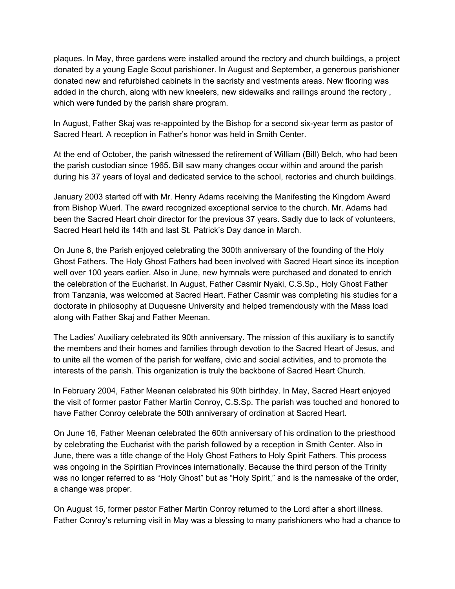plaques. In May, three gardens were installed around the rectory and church buildings, a project donated by a young Eagle Scout parishioner. In August and September, a generous parishioner donated new and refurbished cabinets in the sacristy and vestments areas. New flooring was added in the church, along with new kneelers, new sidewalks and railings around the rectory , which were funded by the parish share program.

In August, Father Skaj was re-appointed by the Bishop for a second six-year term as pastor of Sacred Heart. A reception in Father's honor was held in Smith Center.

At the end of October, the parish witnessed the retirement of William (Bill) Belch, who had been the parish custodian since 1965. Bill saw many changes occur within and around the parish during his 37 years of loyal and dedicated service to the school, rectories and church buildings.

January 2003 started off with Mr. Henry Adams receiving the Manifesting the Kingdom Award from Bishop Wuerl. The award recognized exceptional service to the church. Mr. Adams had been the Sacred Heart choir director for the previous 37 years. Sadly due to lack of volunteers, Sacred Heart held its 14th and last St. Patrick's Day dance in March.

On June 8, the Parish enjoyed celebrating the 300th anniversary of the founding of the Holy Ghost Fathers. The Holy Ghost Fathers had been involved with Sacred Heart since its inception well over 100 years earlier. Also in June, new hymnals were purchased and donated to enrich the celebration of the Eucharist. In August, Father Casmir Nyaki, C.S.Sp., Holy Ghost Father from Tanzania, was welcomed at Sacred Heart. Father Casmir was completing his studies for a doctorate in philosophy at Duquesne University and helped tremendously with the Mass load along with Father Skaj and Father Meenan.

The Ladies' Auxiliary celebrated its 90th anniversary. The mission of this auxiliary is to sanctify the members and their homes and families through devotion to the Sacred Heart of Jesus, and to unite all the women of the parish for welfare, civic and social activities, and to promote the interests of the parish. This organization is truly the backbone of Sacred Heart Church.

In February 2004, Father Meenan celebrated his 90th birthday. In May, Sacred Heart enjoyed the visit of former pastor Father Martin Conroy, C.S.Sp. The parish was touched and honored to have Father Conroy celebrate the 50th anniversary of ordination at Sacred Heart.

On June 16, Father Meenan celebrated the 60th anniversary of his ordination to the priesthood by celebrating the Eucharist with the parish followed by a reception in Smith Center. Also in June, there was a title change of the Holy Ghost Fathers to Holy Spirit Fathers. This process was ongoing in the Spiritian Provinces internationally. Because the third person of the Trinity was no longer referred to as "Holy Ghost" but as "Holy Spirit," and is the namesake of the order, a change was proper.

On August 15, former pastor Father Martin Conroy returned to the Lord after a short illness. Father Conroy's returning visit in May was a blessing to many parishioners who had a chance to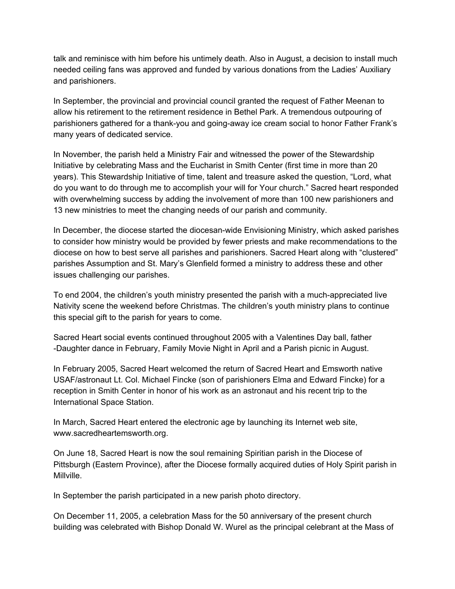talk and reminisce with him before his untimely death. Also in August, a decision to install much needed ceiling fans was approved and funded by various donations from the Ladies' Auxiliary and parishioners.

In September, the provincial and provincial council granted the request of Father Meenan to allow his retirement to the retirement residence in Bethel Park. A tremendous outpouring of parishioners gathered for a thank-you and going-away ice cream social to honor Father Frank's many years of dedicated service.

In November, the parish held a Ministry Fair and witnessed the power of the Stewardship Initiative by celebrating Mass and the Eucharist in Smith Center (first time in more than 20 years). This Stewardship Initiative of time, talent and treasure asked the question, "Lord, what do you want to do through me to accomplish your will for Your church." Sacred heart responded with overwhelming success by adding the involvement of more than 100 new parishioners and 13 new ministries to meet the changing needs of our parish and community.

In December, the diocese started the diocesan-wide Envisioning Ministry, which asked parishes to consider how ministry would be provided by fewer priests and make recommendations to the diocese on how to best serve all parishes and parishioners. Sacred Heart along with "clustered" parishes Assumption and St. Mary's Glenfield formed a ministry to address these and other issues challenging our parishes.

To end 2004, the children's youth ministry presented the parish with a much-appreciated live Nativity scene the weekend before Christmas. The children's youth ministry plans to continue this special gift to the parish for years to come.

Sacred Heart social events continued throughout 2005 with a Valentines Day ball, father -Daughter dance in February, Family Movie Night in April and a Parish picnic in August.

In February 2005, Sacred Heart welcomed the return of Sacred Heart and Emsworth native USAF/astronaut Lt. Col. Michael Fincke (son of parishioners Elma and Edward Fincke) for a reception in Smith Center in honor of his work as an astronaut and his recent trip to the International Space Station.

In March, Sacred Heart entered the electronic age by launching its Internet web site, www.sacredheartemsworth.org.

On June 18, Sacred Heart is now the soul remaining Spiritian parish in the Diocese of Pittsburgh (Eastern Province), after the Diocese formally acquired duties of Holy Spirit parish in Millville.

In September the parish participated in a new parish photo directory.

On December 11, 2005, a celebration Mass for the 50 anniversary of the present church building was celebrated with Bishop Donald W. Wurel as the principal celebrant at the Mass of